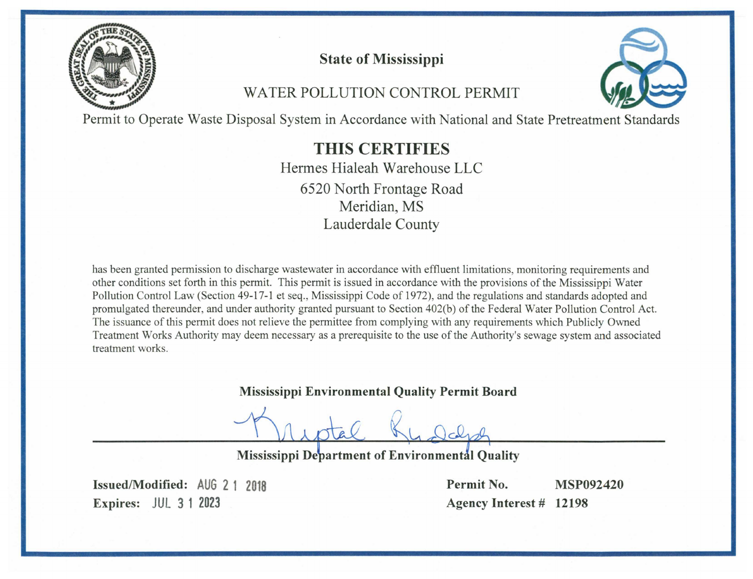

# **State of Mississippi**

# WATER POLLUTION CONTROL PERMIT



Permit to Operate Waste Disposal System in Accordance with National and State Pretreatment Standards

# **THIS CERTIFIES**

Hermes Hialeah Warehouse LLC 6520 North Frontage Road Meridian, MS **Lauderdale County** 

has been granted permission to discharge wastewater in accordance with effluent limitations, monitoring requirements and other conditions set forth in this permit. This permit is issued in accordance with the provisions of the Mississippi Water Pollution Control Law (Section 49-17-1 et seq., Mississippi Code of 1972), and the regulations and standards adopted and promulgated thereunder, and under authority granted pursuant to Section 402(b) of the Federal Water Pollution Control Act. The issuance of this permit does not relieve the permittee from complying with any requirements which Publicly Owned Treatment Works Authority may deem necessary as a prerequisite to the use of the Authority's sewage system and associated treatment works.

# **Mississippi Environmental Quality Permit Board**

Mississippi Department of Environmental Quality

Issued/Modified: AUG 2 1 2018 **Expires: JUL 3 1 2023** 

Permit No. **MSP092420** Agency Interest # 12198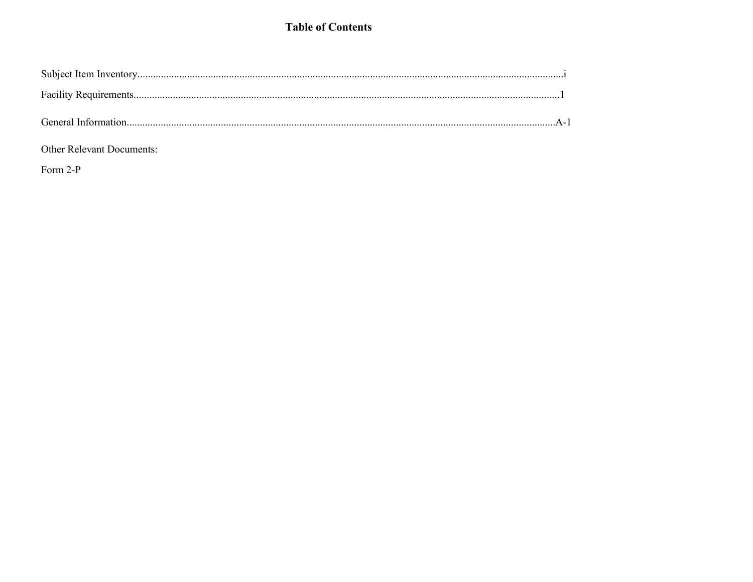### **Table of Contents**

### Other Relevant Documents:

Form 2-P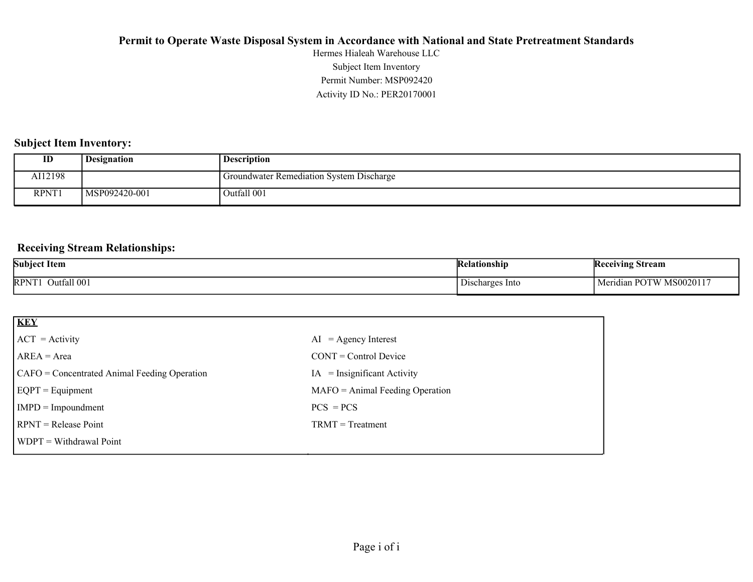Activity ID No.: PER20170001 Permit Number: MSP092420 Subject Item Inventory Hermes Hialeah Warehouse LLC

### **Subject Item Inventory:**

| $_{\rm ID}$ | <b>Designation</b> | <b>Description</b>                       |
|-------------|--------------------|------------------------------------------|
| AI12198     |                    | Groundwater Remediation System Discharge |
| RPNT1       | MSP092420-001      | Outfall 001                              |

### **Receiving Stream Relationships:**

| <b>Subject Item</b>        | Kelationship                                | Receiving<br><b>Stream</b>                       |
|----------------------------|---------------------------------------------|--------------------------------------------------|
| <b>RPNT</b><br>Outfall 001 | $\overline{\phantom{a}}$<br>Discharges Into | MS0020117<br>Max<br>⊿ndian POTW M<br><b>IVIC</b> |

| <b>KEY</b>                                   |                                   |
|----------------------------------------------|-----------------------------------|
| $ ACT = Activity$                            | $AI = Agency Interest$            |
| $AREA = Area$                                | $CONT = Control$ Device           |
| CAFO = Concentrated Animal Feeding Operation | $IA = Insignificant Activity$     |
| $EQPT = Equipment$                           | $MAFO = Animal Feeding Operation$ |
| $IMPD = Impoundment$                         | $PCS = PCs$                       |
| $RPNT = Release Point$                       | $TRMT = Treatment$                |
| $WDPT = Without$ Withdrawal Point            |                                   |
|                                              |                                   |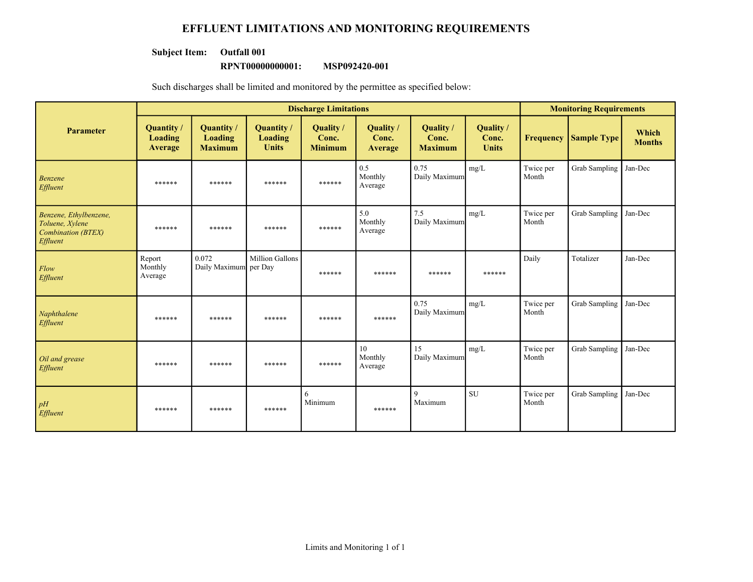### **EFFLUENT LIMITATIONS AND MONITORING REQUIREMENTS**

#### **Subject Item: Outfall 001**

#### **RPNT00000000001: MSP092420-001**

Such discharges shall be limited and monitored by the permittee as specified below:

|                                                                                    | <b>Discharge Limitations</b>    |                                                |                                      |                                      |                                    |                                      | <b>Monitoring Requirements</b>     |                    |                    |                        |
|------------------------------------------------------------------------------------|---------------------------------|------------------------------------------------|--------------------------------------|--------------------------------------|------------------------------------|--------------------------------------|------------------------------------|--------------------|--------------------|------------------------|
| <b>Parameter</b>                                                                   | Quantity/<br>Loading<br>Average | Quantity /<br><b>Loading</b><br><b>Maximum</b> | Quantity/<br>Loading<br><b>Units</b> | Quality /<br>Conc.<br><b>Minimum</b> | <b>Quality</b><br>Conc.<br>Average | Quality /<br>Conc.<br><b>Maximum</b> | Quality /<br>Conc.<br><b>Units</b> | <b>Frequency</b>   | <b>Sample Type</b> | Which<br><b>Months</b> |
| Benzene<br>Effluent                                                                | ******                          | ******                                         | ******                               | ******                               | 0.5<br>Monthly<br>Average          | 0.75<br>Daily Maximum                | mg/L                               | Twice per<br>Month | Grab Sampling      | Jan-Dec                |
| Benzene, Ethylbenzene,<br>Toluene, Xylene<br><b>Combination (BTEX)</b><br>Effluent | ******                          | ******                                         | ******                               | ******                               | 5.0<br>Monthly<br>Average          | 7.5<br>Daily Maximum                 | mg/L                               | Twice per<br>Month | Grab Sampling      | Jan-Dec                |
| Flow<br>Effluent                                                                   | Report<br>Monthly<br>Average    | 0.072<br>Daily Maximum per Day                 | <b>Million Gallons</b>               | ******                               | ******                             | ******                               | ******                             | Daily              | Totalizer          | Jan-Dec                |
| Naphthalene<br>Effluent                                                            | ******                          | ******                                         | ******                               | ******                               | ******                             | 0.75<br>Daily Maximum                | mg/L                               | Twice per<br>Month | Grab Sampling      | Jan-Dec                |
| Oil and grease<br>Effluent                                                         | ******                          | ******                                         | ******                               | ******                               | 10<br>Monthly<br>Average           | 15<br>Daily Maximum                  | mg/L                               | Twice per<br>Month | Grab Sampling      | Jan-Dec                |
| pH<br>Effluent                                                                     | ******                          | ******                                         | ******                               | 6<br>Minimum                         | ******                             | 9<br>Maximum                         | <b>SU</b>                          | Twice per<br>Month | Grab Sampling      | Jan-Dec                |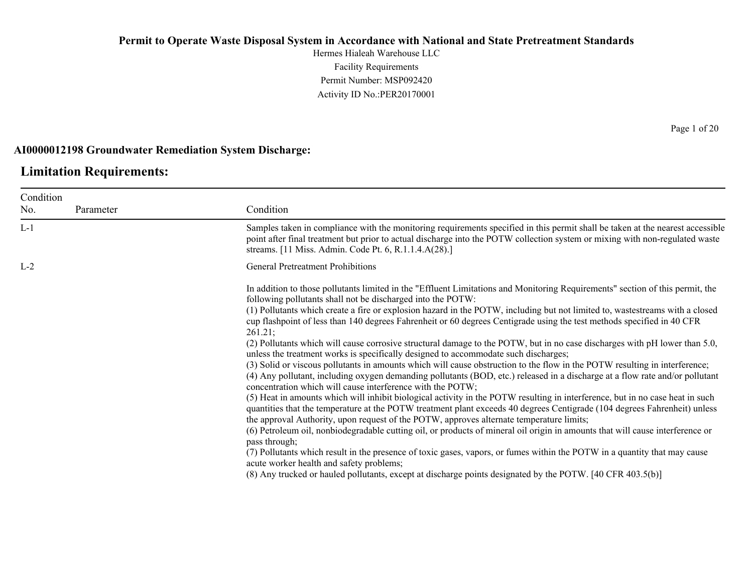Hermes Hialeah Warehouse LLC Facility Requirements Permit Number: MSP092420 Activity ID No.:PER20170001

#### **AI0000012198 Groundwater Remediation System Discharge:**

# **Limitation Requirements:**

| Condition |           |                                                                                                                                                                                                                                                                                                                                                                                                                                                                                                                                                                                                                                                                                                                                                                                                                                                                                                                                                                                                                                                                                                                                                                                                                                                                                                                                                                                                                                                                                                                                                                                                                                                                                                                                                                                                                       |
|-----------|-----------|-----------------------------------------------------------------------------------------------------------------------------------------------------------------------------------------------------------------------------------------------------------------------------------------------------------------------------------------------------------------------------------------------------------------------------------------------------------------------------------------------------------------------------------------------------------------------------------------------------------------------------------------------------------------------------------------------------------------------------------------------------------------------------------------------------------------------------------------------------------------------------------------------------------------------------------------------------------------------------------------------------------------------------------------------------------------------------------------------------------------------------------------------------------------------------------------------------------------------------------------------------------------------------------------------------------------------------------------------------------------------------------------------------------------------------------------------------------------------------------------------------------------------------------------------------------------------------------------------------------------------------------------------------------------------------------------------------------------------------------------------------------------------------------------------------------------------|
| No.       | Parameter | Condition                                                                                                                                                                                                                                                                                                                                                                                                                                                                                                                                                                                                                                                                                                                                                                                                                                                                                                                                                                                                                                                                                                                                                                                                                                                                                                                                                                                                                                                                                                                                                                                                                                                                                                                                                                                                             |
| $L-1$     |           | Samples taken in compliance with the monitoring requirements specified in this permit shall be taken at the nearest accessible<br>point after final treatment but prior to actual discharge into the POTW collection system or mixing with non-regulated waste<br>streams. [11 Miss. Admin. Code Pt. 6, R.1.1.4.A(28).]                                                                                                                                                                                                                                                                                                                                                                                                                                                                                                                                                                                                                                                                                                                                                                                                                                                                                                                                                                                                                                                                                                                                                                                                                                                                                                                                                                                                                                                                                               |
| $L-2$     |           | <b>General Pretreatment Prohibitions</b>                                                                                                                                                                                                                                                                                                                                                                                                                                                                                                                                                                                                                                                                                                                                                                                                                                                                                                                                                                                                                                                                                                                                                                                                                                                                                                                                                                                                                                                                                                                                                                                                                                                                                                                                                                              |
|           |           | In addition to those pollutants limited in the "Effluent Limitations and Monitoring Requirements" section of this permit, the<br>following pollutants shall not be discharged into the POTW:<br>(1) Pollutants which create a fire or explosion hazard in the POTW, including but not limited to, wastestreams with a closed<br>cup flashpoint of less than 140 degrees Fahrenheit or 60 degrees Centigrade using the test methods specified in 40 CFR<br>261.21;<br>(2) Pollutants which will cause corrosive structural damage to the POTW, but in no case discharges with pH lower than 5.0,<br>unless the treatment works is specifically designed to accommodate such discharges;<br>(3) Solid or viscous pollutants in amounts which will cause obstruction to the flow in the POTW resulting in interference;<br>(4) Any pollutant, including oxygen demanding pollutants (BOD, etc.) released in a discharge at a flow rate and/or pollutant<br>concentration which will cause interference with the POTW;<br>(5) Heat in amounts which will inhibit biological activity in the POTW resulting in interference, but in no case heat in such<br>quantities that the temperature at the POTW treatment plant exceeds 40 degrees Centigrade (104 degrees Fahrenheit) unless<br>the approval Authority, upon request of the POTW, approves alternate temperature limits;<br>(6) Petroleum oil, nonbiodegradable cutting oil, or products of mineral oil origin in amounts that will cause interference or<br>pass through;<br>(7) Pollutants which result in the presence of toxic gases, vapors, or fumes within the POTW in a quantity that may cause<br>acute worker health and safety problems;<br>(8) Any trucked or hauled pollutants, except at discharge points designated by the POTW. [40 CFR 403.5(b)] |
|           |           |                                                                                                                                                                                                                                                                                                                                                                                                                                                                                                                                                                                                                                                                                                                                                                                                                                                                                                                                                                                                                                                                                                                                                                                                                                                                                                                                                                                                                                                                                                                                                                                                                                                                                                                                                                                                                       |

Page 1 of 20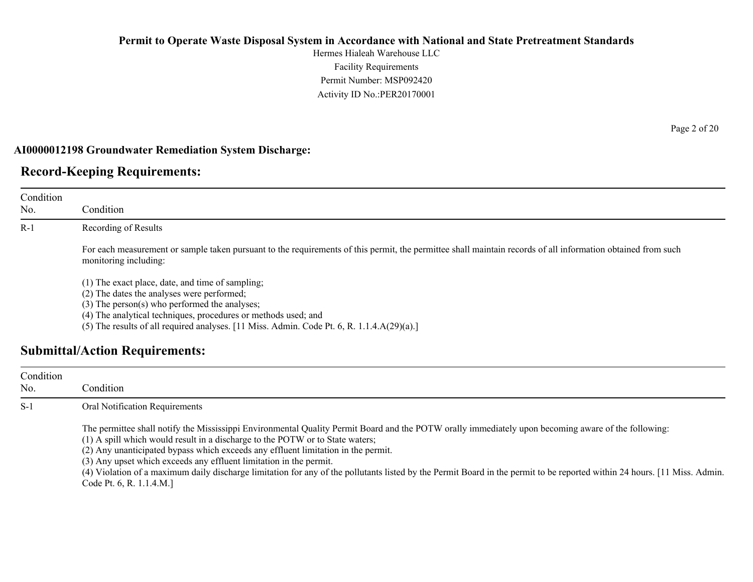Hermes Hialeah Warehouse LLC Facility Requirements Permit Number: MSP092420 Activity ID No.:PER20170001

#### **AI0000012198 Groundwater Remediation System Discharge:**

### **Record-Keeping Requirements:**

| Condition<br>No. | Condition                                                                                                                                                                                                                                                                                                            |
|------------------|----------------------------------------------------------------------------------------------------------------------------------------------------------------------------------------------------------------------------------------------------------------------------------------------------------------------|
| $R-1$            | Recording of Results                                                                                                                                                                                                                                                                                                 |
|                  | For each measurement or sample taken pursuant to the requirements of this permit, the permittee shall maintain records of all information obtained from such<br>monitoring including:                                                                                                                                |
|                  | (1) The exact place, date, and time of sampling;<br>(2) The dates the analyses were performed;<br>$(3)$ The person $(s)$ who performed the analyses;<br>(4) The analytical techniques, procedures or methods used; and<br>(5) The results of all required analyses. [11 Miss. Admin. Code Pt. 6, R. 1.1.4.A(29)(a).] |
|                  | <b>Submittal/Action Requirements:</b>                                                                                                                                                                                                                                                                                |

| Condition<br>No. | Condition :                                                                                                                                                                                                                                                                                                                                                                                                                                                                                                                                                                                              |
|------------------|----------------------------------------------------------------------------------------------------------------------------------------------------------------------------------------------------------------------------------------------------------------------------------------------------------------------------------------------------------------------------------------------------------------------------------------------------------------------------------------------------------------------------------------------------------------------------------------------------------|
| $S-1$            | Oral Notification Requirements                                                                                                                                                                                                                                                                                                                                                                                                                                                                                                                                                                           |
|                  | The permittee shall notify the Mississippi Environmental Quality Permit Board and the POTW orally immediately upon becoming aware of the following:<br>(1) A spill which would result in a discharge to the POTW or to State waters;<br>(2) Any unanticipated bypass which exceeds any effluent limitation in the permit.<br>(3) Any upset which exceeds any effluent limitation in the permit.<br>(4) Violation of a maximum daily discharge limitation for any of the pollutants listed by the Permit Board in the permit to be reported within 24 hours. [11 Miss. Admin.]<br>Code Pt. 6, R. 1.1.4.M. |

Page 2 of 20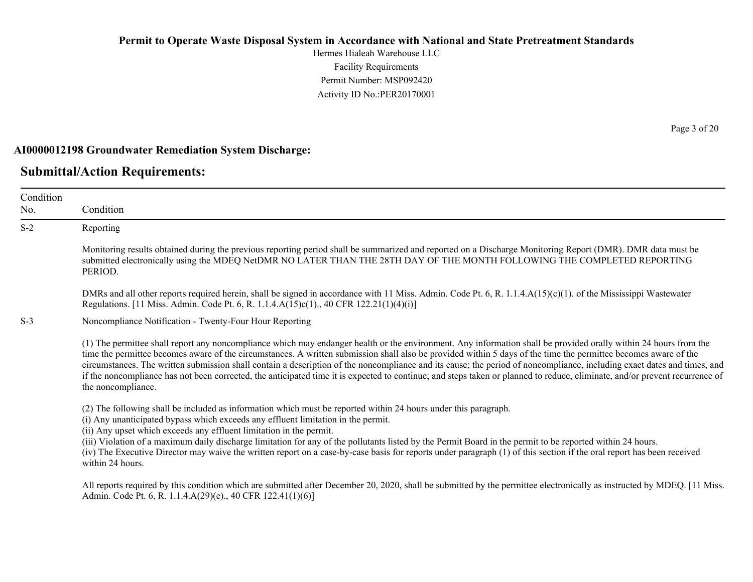Hermes Hialeah Warehouse LLC Facility Requirements Permit Number: MSP092420 Activity ID No.:PER20170001

#### **AI0000012198 Groundwater Remediation System Discharge:**

### **Submittal/Action Requirements:**

Condition No. Condition S-2 Reporting Monitoring results obtained during the previous reporting period shall be summarized and reported on a Discharge Monitoring Report (DMR). DMR data must be submitted electronically using the MDEQ NetDMR NO LATER THAN THE 28TH DAY OF THE MONTH FOLLOWING THE COMPLETED REPORTING PERIOD. DMRs and all other reports required herein, shall be signed in accordance with 11 Miss. Admin. Code Pt. 6, R. 1.1.4.A(15)(c)(1). of the Mississippi Wastewater Regulations. [11 Miss. Admin. Code Pt. 6, R. 1.1.4.A(15)c(1)., 40 CFR 122.21(1)(4)(i)] S-3 Noncompliance Notification - Twenty-Four Hour Reporting (1) The permittee shall report any noncompliance which may endanger health or the environment. Any information shall be provided orally within 24 hours from the time the permittee becomes aware of the circumstances. A written submission shall also be provided within 5 days of the time the permittee becomes aware of the circumstances. The written submission shall contain a description of the noncompliance and its cause; the period of noncompliance, including exact dates and times, and if the noncompliance has not been corrected, the anticipated time it is expected to continue; and steps taken or planned to reduce, eliminate, and/or prevent recurrence of the noncompliance. (2) The following shall be included as information which must be reported within 24 hours under this paragraph. (i) Any unanticipated bypass which exceeds any effluent limitation in the permit. (ii) Any upset which exceeds any effluent limitation in the permit. (iii) Violation of a maximum daily discharge limitation for any of the pollutants listed by the Permit Board in the permit to be reported within 24 hours. (iv) The Executive Director may waive the written report on a case-by-case basis for reports under paragraph (1) of this section if the oral report has been received within 24 hours. All reports required by this condition which are submitted after December 20, 2020, shall be submitted by the permittee electronically as instructed by MDEQ. [11 Miss.] Admin. Code Pt. 6, R. 1.1.4.A(29)(e)., 40 CFR 122.41(1)(6)]

Page 3 of 20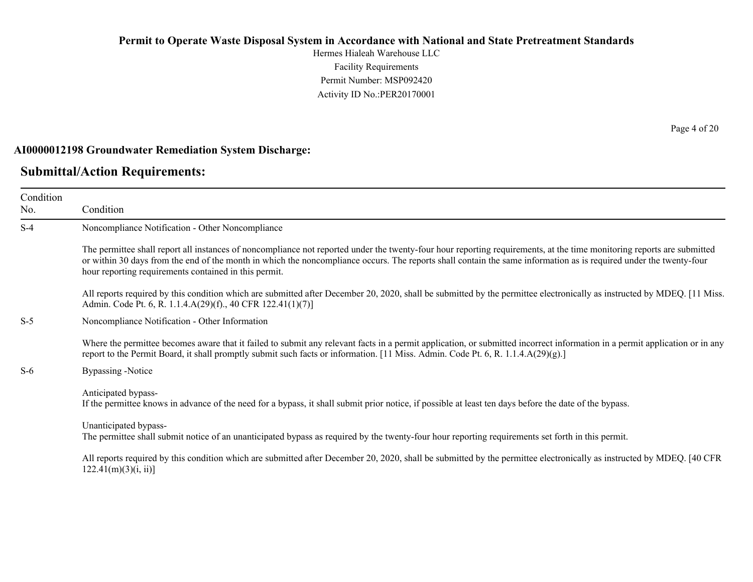Hermes Hialeah Warehouse LLC Facility Requirements Permit Number: MSP092420 Activity ID No.:PER20170001

#### **AI0000012198 Groundwater Remediation System Discharge:**

### **Submittal/Action Requirements:**

Condition No. Condition S-4 Noncompliance Notification - Other Noncompliance The permittee shall report all instances of noncompliance not reported under the twenty-four hour reporting requirements, at the time monitoring reports are submitted or within 30 days from the end of the month in which the noncompliance occurs. The reports shall contain the same information as is required under the twenty-four hour reporting requirements contained in this permit. All reports required by this condition which are submitted after December 20, 2020, shall be submitted by the permittee electronically as instructed by MDEQ. [11 Miss.] Admin. Code Pt. 6, R. 1.1.4.A(29)(f)., 40 CFR 122.41(1)(7)] S-5 Noncompliance Notification - Other Information Where the permittee becomes aware that it failed to submit any relevant facts in a permit application, or submitted incorrect information in a permit application or in any report to the Permit Board, it shall promptly submit such facts or information. [11 Miss. Admin. Code Pt. 6, R. 1.1.4.A(29)(g).] S-6 Bypassing -Notice Anticipated bypass-If the permittee knows in advance of the need for a bypass, it shall submit prior notice, if possible at least ten days before the date of the bypass. Unanticipated bypass-The permittee shall submit notice of an unanticipated bypass as required by the twenty-four hour reporting requirements set forth in this permit. All reports required by this condition which are submitted after December 20, 2020, shall be submitted by the permittee electronically as instructed by MDEQ. [40 CFR  $122.41(m)(3)(i, ii)$ ]

Page 4 of 20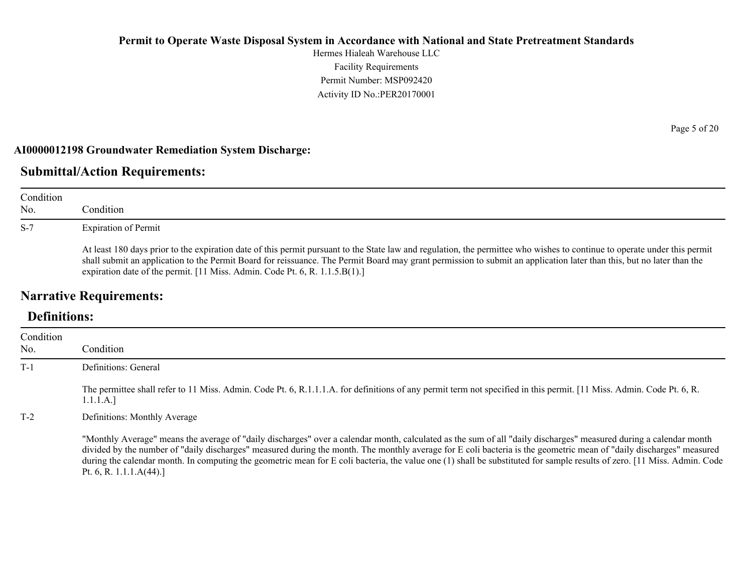Hermes Hialeah Warehouse LLC Facility Requirements Permit Number: MSP092420 Activity ID No.:PER20170001

#### **AI0000012198 Groundwater Remediation System Discharge:**

### **Submittal/Action Requirements:**

| Condition<br>No. | Condition                                                                                                                                                                                                                                                                                                                                                                                                                         |
|------------------|-----------------------------------------------------------------------------------------------------------------------------------------------------------------------------------------------------------------------------------------------------------------------------------------------------------------------------------------------------------------------------------------------------------------------------------|
| $S-7$            | <b>Expiration of Permit</b>                                                                                                                                                                                                                                                                                                                                                                                                       |
|                  | At least 180 days prior to the expiration date of this permit pursuant to the State law and regulation, the permittee who wishes to continue to operate under this permit<br>shall submit an application to the Permit Board for reissuance. The Permit Board may grant permission to submit an application later than this, but no later than the<br>expiration date of the permit. [11 Miss. Admin. Code Pt. 6, R. 1.1.5.B(1).] |

# **Narrative Requirements:**

# **Definitions:**

| Condition |                                                                                                                                                                                                                                                                                                                                                                                                                                                                                                                                                     |
|-----------|-----------------------------------------------------------------------------------------------------------------------------------------------------------------------------------------------------------------------------------------------------------------------------------------------------------------------------------------------------------------------------------------------------------------------------------------------------------------------------------------------------------------------------------------------------|
| No.       | Condition                                                                                                                                                                                                                                                                                                                                                                                                                                                                                                                                           |
| $T-1$     | Definitions: General                                                                                                                                                                                                                                                                                                                                                                                                                                                                                                                                |
|           | The permittee shall refer to 11 Miss. Admin. Code Pt. 6, R.1.1.1.A. for definitions of any permit term not specified in this permit. [11 Miss. Admin. Code Pt. 6, R.<br>1.1.1.A.]                                                                                                                                                                                                                                                                                                                                                                   |
| $T-2$     | Definitions: Monthly Average                                                                                                                                                                                                                                                                                                                                                                                                                                                                                                                        |
|           | "Monthly Average" means the average of "daily discharges" over a calendar month, calculated as the sum of all "daily discharges" measured during a calendar month<br>divided by the number of "daily discharges" measured during the month. The monthly average for E coli bacteria is the geometric mean of "daily discharges" measured<br>during the calendar month. In computing the geometric mean for E coli bacteria, the value one (1) shall be substituted for sample results of zero. [11 Miss. Admin. Code<br>Pt. 6, R. 1.1.1. $A(44)$ .] |

Page 5 of 20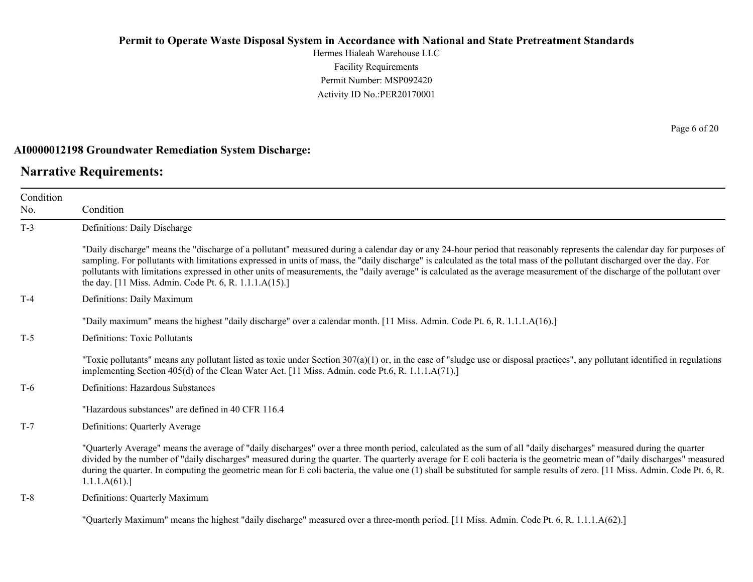Hermes Hialeah Warehouse LLC Facility Requirements Permit Number: MSP092420 Activity ID No.:PER20170001

#### **AI0000012198 Groundwater Remediation System Discharge:**

### **Narrative Requirements:**

Condition No. Condition T-3 Definitions: Daily Discharge "Daily discharge" means the "discharge of a pollutant" measured during a calendar day or any 24-hour period that reasonably represents the calendar day for purposes of sampling. For pollutants with limitations expressed in units of mass, the "daily discharge" is calculated as the total mass of the pollutant discharged over the day. For pollutants with limitations expressed in other units of measurements, the "daily average" is calculated as the average measurement of the discharge of the pollutant over the day. [11 Miss. Admin. Code Pt. 6, R. 1.1.1.A(15).] T-4 Definitions: Daily Maximum "Daily maximum" means the highest "daily discharge" over a calendar month. [11 Miss. Admin. Code Pt. 6, R. 1.1.1.A(16).] T-5 Definitions: Toxic Pollutants "Toxic pollutants" means any pollutant listed as toxic under Section  $307(a)(1)$  or, in the case of "sludge use or disposal practices", any pollutant identified in regulations implementing Section 405(d) of the Clean Water Act. [11 Miss. Admin. code Pt.6, R. 1.1.1.A(71).] T-6 Definitions: Hazardous Substances "Hazardous substances" are defined in 40 CFR 116.4 T-7 Definitions: Quarterly Average "Quarterly Average" means the average of "daily discharges" over a three month period, calculated as the sum of all "daily discharges" measured during the quarter divided by the number of "daily discharges" measured during the quarter. The quarterly average for E coli bacteria is the geometric mean of "daily discharges" measured during the quarter. In computing the geometric mean for E coli bacteria, the value one (1) shall be substituted for sample results of zero. [11 Miss. Admin. Code Pt. 6, R. 1.1.1.A(61).] T-8 Definitions: Quarterly Maximum

"Quarterly Maximum" means the highest "daily discharge" measured over a three-month period. [11 Miss. Admin. Code Pt. 6, R. 1.1.1.A(62).]

Page 6 of 20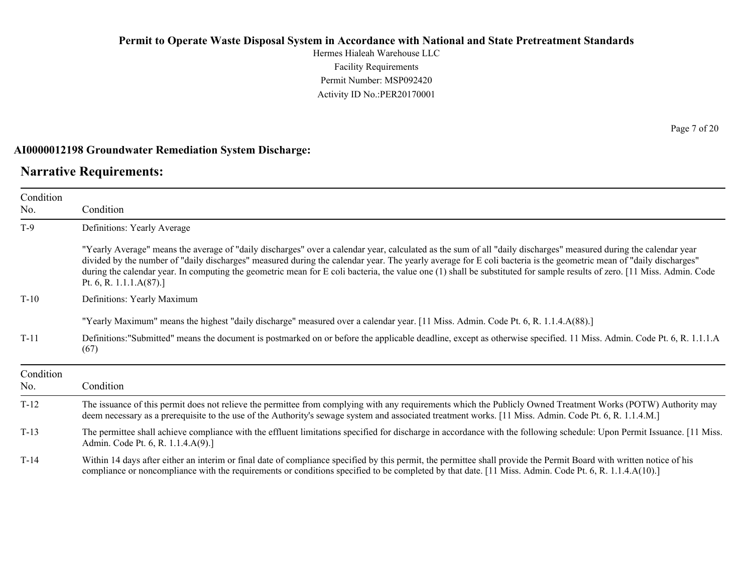Hermes Hialeah Warehouse LLC Facility Requirements Permit Number: MSP092420 Activity ID No.:PER20170001

#### **AI0000012198 Groundwater Remediation System Discharge:**

### **Narrative Requirements:**

Condition No. Condition T-9 Definitions: Yearly Average "Yearly Average" means the average of "daily discharges" over a calendar year, calculated as the sum of all "daily discharges" measured during the calendar year divided by the number of "daily discharges" measured during the calendar year. The yearly average for E coli bacteria is the geometric mean of "daily discharges" during the calendar year. In computing the geometric mean for E coli bacteria, the value one (1) shall be substituted for sample results of zero. [11 Miss. Admin. Code Pt. 6, R. 1.1.1.A(87).] T-10 Definitions: Yearly Maximum "Yearly Maximum" means the highest "daily discharge" measured over a calendar year. [11 Miss. Admin. Code Pt. 6, R. 1.1.4.A(88).] T-11 Definitions:"Submitted" means the document is postmarked on or before the applicable deadline, except as otherwise specified. 11 Miss. Admin. Code Pt. 6, R. 1.1.1.A (67) Condition No. **Condition** T-12 The issuance of this permit does not relieve the permittee from complying with any requirements which the Publicly Owned Treatment Works (POTW) Authority may deem necessary as a prerequisite to the use of the Authority's sewage system and associated treatment works. [11 Miss. Admin. Code Pt. 6, R. 1.1.4.M.] T-13 The permittee shall achieve compliance with the effluent limitations specified for discharge in accordance with the following schedule: Upon Permit Issuance. [11 Miss. Admin. Code Pt. 6, R. 1.1.4.A(9).] T-14 Within 14 days after either an interim or final date of compliance specified by this permit, the permittee shall provide the Permit Board with written notice of his compliance or noncompliance with the requirements or conditions specified to be completed by that date. [11 Miss. Admin. Code Pt. 6, R. 1.1.4.A(10).]

Page 7 of 20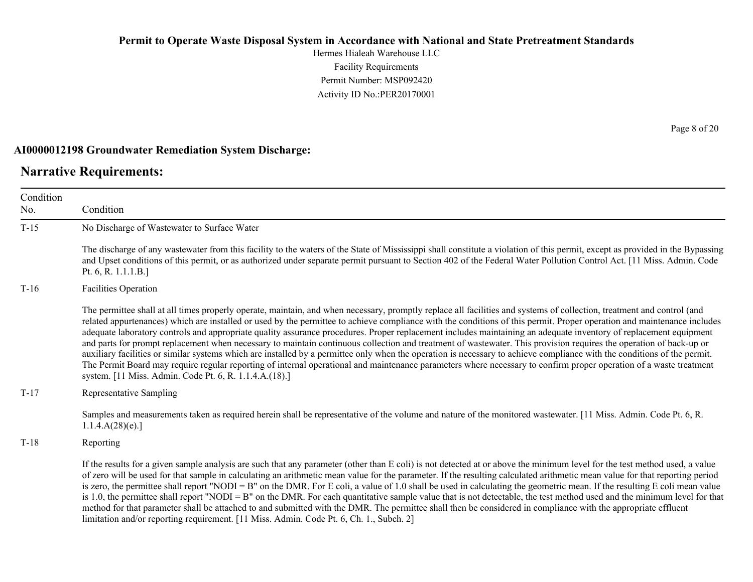Hermes Hialeah Warehouse LLC Facility Requirements Permit Number: MSP092420 Activity ID No.:PER20170001

#### **AI0000012198 Groundwater Remediation System Discharge:**

limitation and/or reporting requirement. [11 Miss. Admin. Code Pt. 6, Ch. 1., Subch. 2]

### **Narrative Requirements:**

Condition No. Condition T-15 No Discharge of Wastewater to Surface Water The discharge of any wastewater from this facility to the waters of the State of Mississippi shall constitute a violation of this permit, except as provided in the Bypassing and Upset conditions of this permit, or as authorized under separate permit pursuant to Section 402 of the Federal Water Pollution Control Act. [11 Miss. Admin. Code Pt. 6, R. 1.1.1.B.] T-16 Facilities Operation The permittee shall at all times properly operate, maintain, and when necessary, promptly replace all facilities and systems of collection, treatment and control (and related appurtenances) which are installed or used by the permittee to achieve compliance with the conditions of this permit. Proper operation and maintenance includes adequate laboratory controls and appropriate quality assurance procedures. Proper replacement includes maintaining an adequate inventory of replacement equipment and parts for prompt replacement when necessary to maintain continuous collection and treatment of wastewater. This provision requires the operation of back-up or auxiliary facilities or similar systems which are installed by a permittee only when the operation is necessary to achieve compliance with the conditions of the permit. The Permit Board may require regular reporting of internal operational and maintenance parameters where necessary to confirm proper operation of a waste treatment system. [11 Miss. Admin. Code Pt. 6, R. 1.1.4.A.(18).] T-17 Representative Sampling Samples and measurements taken as required herein shall be representative of the volume and nature of the monitored wastewater. [11 Miss. Admin. Code Pt. 6, R. 1.1.4.A(28)(e).] T-18 Reporting If the results for a given sample analysis are such that any parameter (other than E coli) is not detected at or above the minimum level for the test method used, a value of zero will be used for that sample in calculating an arithmetic mean value for the parameter. If the resulting calculated arithmetic mean value for that reporting period is zero, the permittee shall report "NODI = B" on the DMR. For E coli, a value of 1.0 shall be used in calculating the geometric mean. If the resulting E coli mean value is 1.0, the permittee shall report "NODI = B" on the DMR. For each quantitative sample value that is not detectable, the test method used and the minimum level for that method for that parameter shall be attached to and submitted with the DMR. The permittee shall then be considered in compliance with the appropriate effluent

Page 8 of 20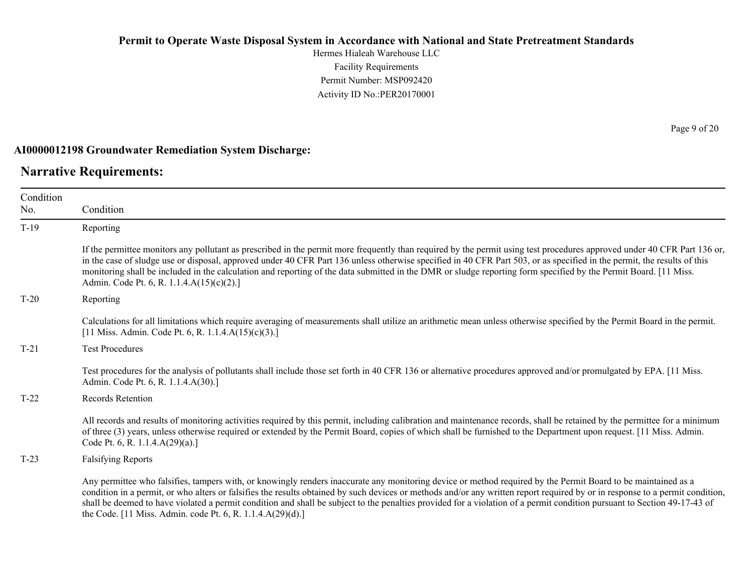Hermes Hialeah Warehouse LLC Facility Requirements Permit Number: MSP092420 Activity ID No.:PER20170001

#### **AI0000012198 Groundwater Remediation System Discharge:**

### **Narrative Requirements:**

Condition No. Condition T-19 Reporting If the permittee monitors any pollutant as prescribed in the permit more frequently than required by the permit using test procedures approved under 40 CFR Part 136 or, in the case of sludge use or disposal, approved under 40 CFR Part 136 unless otherwise specified in 40 CFR Part 503, or as specified in the permit, the results of this monitoring shall be included in the calculation and reporting of the data submitted in the DMR or sludge reporting form specified by the Permit Board. [11 Miss. Admin. Code Pt. 6, R. 1.1.4.A(15)(c)(2).] T-20 Reporting Calculations for all limitations which require averaging of measurements shall utilize an arithmetic mean unless otherwise specified by the Permit Board in the permit. [11 Miss. Admin. Code Pt. 6, R. 1.1.4.A(15)(c)(3).] T-21 Test Procedures Test procedures for the analysis of pollutants shall include those set forth in 40 CFR 136 or alternative procedures approved and/or promulgated by EPA. [11 Miss. Admin. Code Pt. 6, R. 1.1.4.A(30).] T-22 Records Retention All records and results of monitoring activities required by this permit, including calibration and maintenance records, shall be retained by the permittee for a minimum of three (3) years, unless otherwise required or extended by the Permit Board, copies of which shall be furnished to the Department upon request. [11 Miss. Admin. Code Pt. 6, R. 1.1.4.A(29)(a).] T-23 Falsifying Reports Any permittee who falsifies, tampers with, or knowingly renders inaccurate any monitoring device or method required by the Permit Board to be maintained as a condition in a permit, or who alters or falsifies the results obtained by such devices or methods and/or any written report required by or in response to a permit condition, shall be deemed to have violated a permit condition and shall be subject to the penalties provided for a violation of a permit condition pursuant to Section 49-17-43 of

the Code. [11 Miss. Admin. code Pt. 6, R. 1.1.4.A(29)(d).]

Page 9 of 20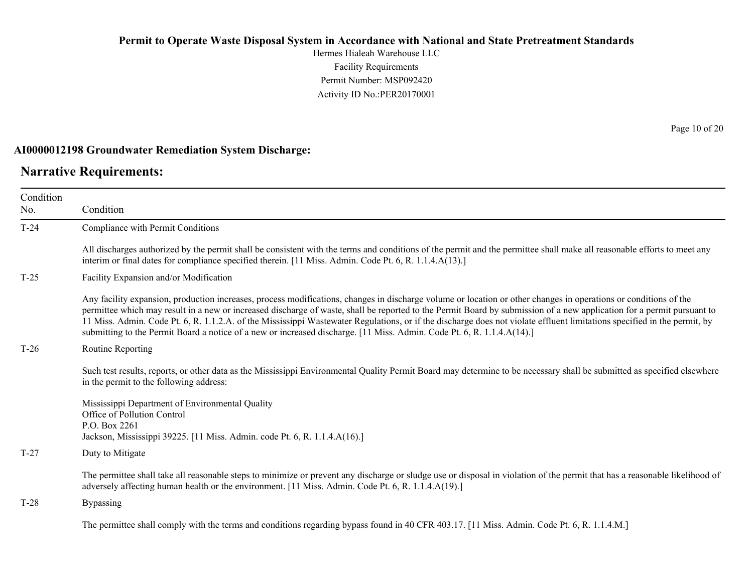Hermes Hialeah Warehouse LLC Facility Requirements Permit Number: MSP092420 Activity ID No.:PER20170001

#### **AI0000012198 Groundwater Remediation System Discharge:**

### **Narrative Requirements:**

Condition No. Condition T-24 Compliance with Permit Conditions All discharges authorized by the permit shall be consistent with the terms and conditions of the permit and the permittee shall make all reasonable efforts to meet any interim or final dates for compliance specified therein. [11 Miss. Admin. Code Pt. 6, R. 1.1.4.A(13).] T-25 Facility Expansion and/or Modification Any facility expansion, production increases, process modifications, changes in discharge volume or location or other changes in operations or conditions of the permittee which may result in a new or increased discharge of waste, shall be reported to the Permit Board by submission of a new application for a permit pursuant to 11 Miss. Admin. Code Pt. 6, R. 1.1.2.A. of the Mississippi Wastewater Regulations, or if the discharge does not violate effluent limitations specified in the permit, by submitting to the Permit Board a notice of a new or increased discharge. [11 Miss. Admin. Code Pt. 6, R. 1.1.4.A(14).] T-26 Routine Reporting Such test results, reports, or other data as the Mississippi Environmental Quality Permit Board may determine to be necessary shall be submitted as specified elsewhere in the permit to the following address: Mississippi Department of Environmental Quality Office of Pollution Control P.O. Box 2261 Jackson, Mississippi 39225. [11 Miss. Admin. code Pt. 6, R. 1.1.4.A(16).] T-27 Duty to Mitigate The permittee shall take all reasonable steps to minimize or prevent any discharge or sludge use or disposal in violation of the permit that has a reasonable likelihood of adversely affecting human health or the environment. [11 Miss. Admin. Code Pt. 6, R. 1.1.4.A(19).] T-28 Bypassing The permittee shall comply with the terms and conditions regarding bypass found in 40 CFR 403.17. [11 Miss. Admin. Code Pt. 6, R. 1.1.4.M.]

Page 10 of 20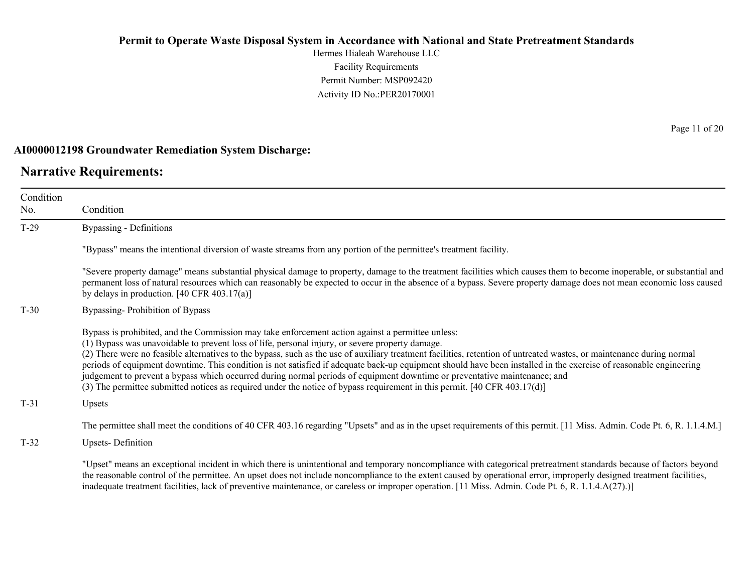Hermes Hialeah Warehouse LLC Facility Requirements Permit Number: MSP092420 Activity ID No.:PER20170001

#### **AI0000012198 Groundwater Remediation System Discharge:**

### **Narrative Requirements:**

Condition No. Condition T-29 Bypassing - Definitions "Bypass" means the intentional diversion of waste streams from any portion of the permittee's treatment facility. "Severe property damage" means substantial physical damage to property, damage to the treatment facilities which causes them to become inoperable, or substantial and permanent loss of natural resources which can reasonably be expected to occur in the absence of a bypass. Severe property damage does not mean economic loss caused by delays in production. [40 CFR 403.17(a)] T-30 Bypassing- Prohibition of Bypass Bypass is prohibited, and the Commission may take enforcement action against a permittee unless: (1) Bypass was unavoidable to prevent loss of life, personal injury, or severe property damage. (2) There were no feasible alternatives to the bypass, such as the use of auxiliary treatment facilities, retention of untreated wastes, or maintenance during normal periods of equipment downtime. This condition is not satisfied if adequate back-up equipment should have been installed in the exercise of reasonable engineering judgement to prevent a bypass which occurred during normal periods of equipment downtime or preventative maintenance; and (3) The permittee submitted notices as required under the notice of bypass requirement in this permit. [40 CFR 403.17(d)] T-31 Upsets The permittee shall meet the conditions of 40 CFR 403.16 regarding "Upsets" and as in the upset requirements of this permit. [11 Miss. Admin. Code Pt. 6, R. 1.1.4.M.] T-32 Upsets- Definition

"Upset" means an exceptional incident in which there is unintentional and temporary noncompliance with categorical pretreatment standards because of factors beyond the reasonable control of the permittee. An upset does not include noncompliance to the extent caused by operational error, improperly designed treatment facilities, inadequate treatment facilities, lack of preventive maintenance, or careless or improper operation. [11 Miss. Admin. Code Pt. 6, R. 1.1.4.A(27).)]

Page 11 of 20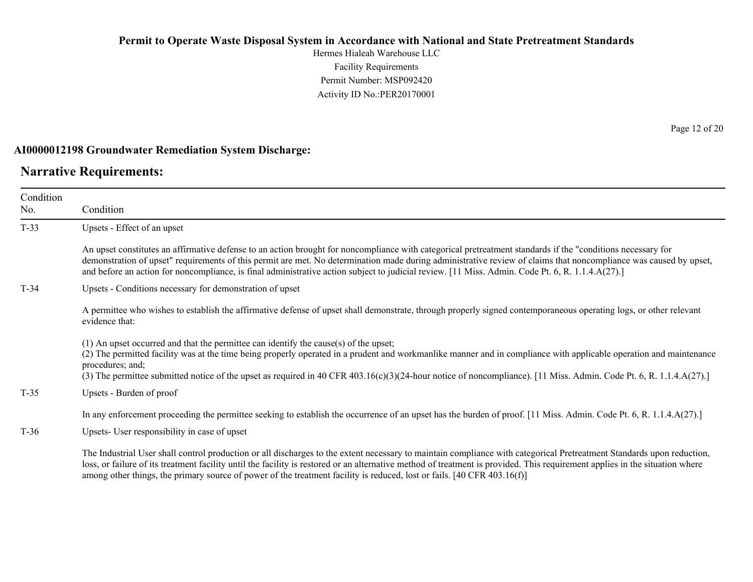Hermes Hialeah Warehouse LLC Facility Requirements Permit Number: MSP092420 Activity ID No.:PER20170001

#### **AI0000012198 Groundwater Remediation System Discharge:**

### **Narrative Requirements:**

Condition No.

Condition T-33 Upsets - Effect of an upset An upset constitutes an affirmative defense to an action brought for noncompliance with categorical pretreatment standards if the "conditions necessary for demonstration of upset" requirements of this permit are met. No determination made during administrative review of claims that noncompliance was caused by upset, and before an action for noncompliance, is final administrative action subject to judicial review. [11 Miss. Admin. Code Pt. 6, R. 1.1.4.A(27).] T-34 Upsets - Conditions necessary for demonstration of upset A permittee who wishes to establish the affirmative defense of upset shall demonstrate, through properly signed contemporaneous operating logs, or other relevant evidence that: (1) An upset occurred and that the permittee can identify the cause(s) of the upset; (2) The permitted facility was at the time being properly operated in a prudent and workmanlike manner and in compliance with applicable operation and maintenance procedures; and; (3) The permittee submitted notice of the upset as required in 40 CFR 403.16(c)(3)(24-hour notice of noncompliance). [11 Miss. Admin. Code Pt. 6, R. 1.1.4.A(27).]

T-35 Upsets - Burden of proof

In any enforcement proceeding the permittee seeking to establish the occurrence of an upset has the burden of proof. [11 Miss. Admin. Code Pt. 6, R. 1.1.4.A(27).]

T-36 Upsets- User responsibility in case of upset

The Industrial User shall control production or all discharges to the extent necessary to maintain compliance with categorical Pretreatment Standards upon reduction, loss, or failure of its treatment facility until the facility is restored or an alternative method of treatment is provided. This requirement applies in the situation where among other things, the primary source of power of the treatment facility is reduced, lost or fails. [40 CFR 403.16(f)]

Page 12 of 20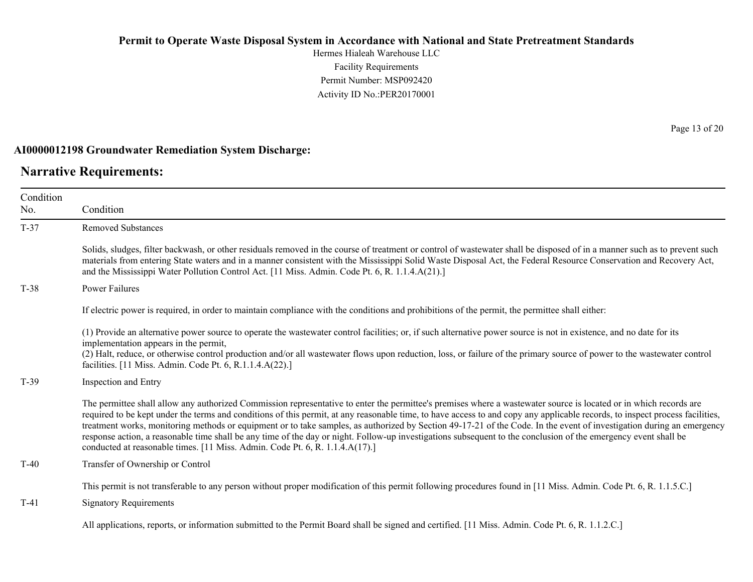Hermes Hialeah Warehouse LLC Facility Requirements Permit Number: MSP092420 Activity ID No.:PER20170001

#### **AI0000012198 Groundwater Remediation System Discharge:**

### **Narrative Requirements:**

Page 13 of 20

| Condition<br>No. | Condition                                                                                                                                                                                                                                                                                                                                                                                                                                                                                                                                                                                                                                                                                                                                                                     |
|------------------|-------------------------------------------------------------------------------------------------------------------------------------------------------------------------------------------------------------------------------------------------------------------------------------------------------------------------------------------------------------------------------------------------------------------------------------------------------------------------------------------------------------------------------------------------------------------------------------------------------------------------------------------------------------------------------------------------------------------------------------------------------------------------------|
| $T-37$           | <b>Removed Substances</b>                                                                                                                                                                                                                                                                                                                                                                                                                                                                                                                                                                                                                                                                                                                                                     |
|                  | Solids, sludges, filter backwash, or other residuals removed in the course of treatment or control of wastewater shall be disposed of in a manner such as to prevent such<br>materials from entering State waters and in a manner consistent with the Mississippi Solid Waste Disposal Act, the Federal Resource Conservation and Recovery Act,<br>and the Mississippi Water Pollution Control Act. [11 Miss. Admin. Code Pt. 6, R. 1.1.4.A(21).]                                                                                                                                                                                                                                                                                                                             |
| $T-38$           | <b>Power Failures</b>                                                                                                                                                                                                                                                                                                                                                                                                                                                                                                                                                                                                                                                                                                                                                         |
|                  | If electric power is required, in order to maintain compliance with the conditions and prohibitions of the permit, the permittee shall either:                                                                                                                                                                                                                                                                                                                                                                                                                                                                                                                                                                                                                                |
|                  | (1) Provide an alternative power source to operate the wastewater control facilities; or, if such alternative power source is not in existence, and no date for its<br>implementation appears in the permit,<br>(2) Halt, reduce, or otherwise control production and/or all wastewater flows upon reduction, loss, or failure of the primary source of power to the wastewater control<br>facilities. [11 Miss. Admin. Code Pt. 6, R.1.1.4.A(22).]                                                                                                                                                                                                                                                                                                                           |
| $T-39$           | Inspection and Entry                                                                                                                                                                                                                                                                                                                                                                                                                                                                                                                                                                                                                                                                                                                                                          |
|                  | The permittee shall allow any authorized Commission representative to enter the permittee's premises where a wastewater source is located or in which records are<br>required to be kept under the terms and conditions of this permit, at any reasonable time, to have access to and copy any applicable records, to inspect process facilities,<br>treatment works, monitoring methods or equipment or to take samples, as authorized by Section 49-17-21 of the Code. In the event of investigation during an emergency<br>response action, a reasonable time shall be any time of the day or night. Follow-up investigations subsequent to the conclusion of the emergency event shall be<br>conducted at reasonable times. [11 Miss. Admin. Code Pt. 6, R. 1.1.4.A(17).] |
| $T-40$           | Transfer of Ownership or Control                                                                                                                                                                                                                                                                                                                                                                                                                                                                                                                                                                                                                                                                                                                                              |
|                  | This permit is not transferable to any person without proper modification of this permit following procedures found in [11 Miss. Admin. Code Pt. 6, R. 1.1.5.C.]                                                                                                                                                                                                                                                                                                                                                                                                                                                                                                                                                                                                              |
| $T-41$           | <b>Signatory Requirements</b>                                                                                                                                                                                                                                                                                                                                                                                                                                                                                                                                                                                                                                                                                                                                                 |
|                  | All applications, reports, or information submitted to the Permit Board shall be signed and certified. [11 Miss. Admin. Code Pt. 6, R. 1.1.2.C.]                                                                                                                                                                                                                                                                                                                                                                                                                                                                                                                                                                                                                              |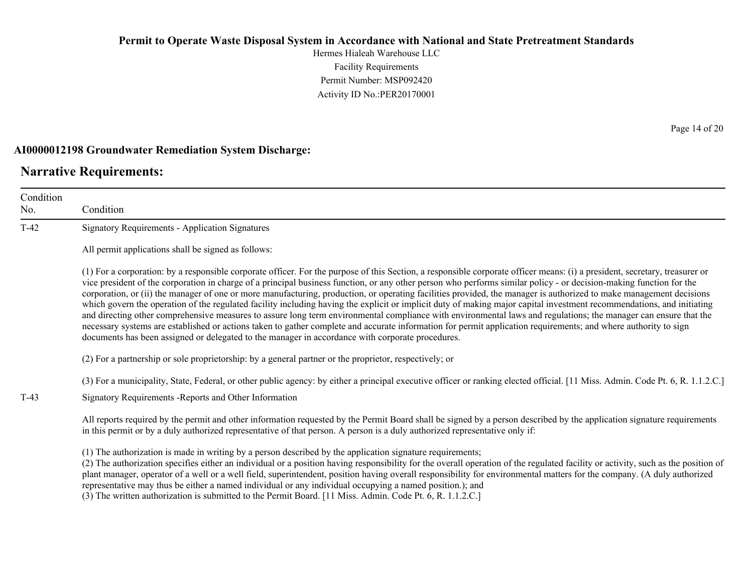Hermes Hialeah Warehouse LLC Facility Requirements Permit Number: MSP092420 Activity ID No.:PER20170001

#### **AI0000012198 Groundwater Remediation System Discharge:**

### **Narrative Requirements:**

Condition No. Condition T-42 Signatory Requirements - Application Signatures All permit applications shall be signed as follows: (1) For a corporation: by a responsible corporate officer. For the purpose of this Section, a responsible corporate officer means: (i) a president, secretary, treasurer or vice president of the corporation in charge of a principal business function, or any other person who performs similar policy - or decision-making function for the corporation, or (ii) the manager of one or more manufacturing, production, or operating facilities provided, the manager is authorized to make management decisions which govern the operation of the regulated facility including having the explicit or implicit duty of making major capital investment recommendations, and initiating and directing other comprehensive measures to assure long term environmental compliance with environmental laws and regulations; the manager can ensure that the necessary systems are established or actions taken to gather complete and accurate information for permit application requirements; and where authority to sign documents has been assigned or delegated to the manager in accordance with corporate procedures. (2) For a partnership or sole proprietorship: by a general partner or the proprietor, respectively; or (3) For a municipality, State, Federal, or other public agency: by either a principal executive officer or ranking elected official. [11 Miss. Admin. Code Pt. 6, R. 1.1.2.C.] T-43 Signatory Requirements -Reports and Other Information All reports required by the permit and other information requested by the Permit Board shall be signed by a person described by the application signature requirements in this permit or by a duly authorized representative of that person. A person is a duly authorized representative only if: (1) The authorization is made in writing by a person described by the application signature requirements; (2) The authorization specifies either an individual or a position having responsibility for the overall operation of the regulated facility or activity, such as the position of plant manager, operator of a well or a well field, superintendent, position having overall responsibility for environmental matters for the company. (A duly authorized

representative may thus be either a named individual or any individual occupying a named position.); and

(3) The written authorization is submitted to the Permit Board. [11 Miss. Admin. Code Pt. 6, R. 1.1.2.C.]

Page 14 of 20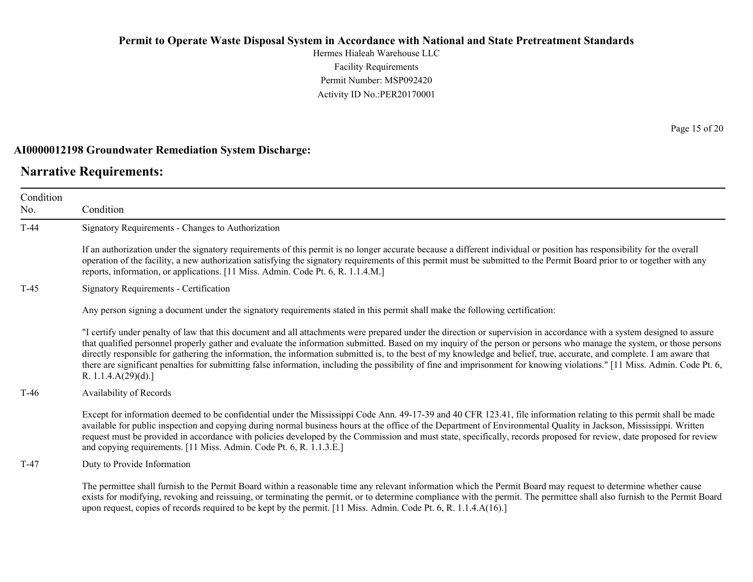Hermes Hialeah Warehouse LLC Facility Requirements Permit Number: MSP092420 Activity ID No.:PER20170001

#### **AI0000012198 Groundwater Remediation System Discharge:**

### **Narrative Requirements:**

Condition No. Condition T-44 Signatory Requirements - Changes to Authorization If an authorization under the signatory requirements of this permit is no longer accurate because a different individual or position has responsibility for the overall operation of the facility, a new authorization satisfying the signatory requirements of this permit must be submitted to the Permit Board prior to or together with any reports, information, or applications. [11 Miss. Admin. Code Pt. 6, R. 1.1.4.M.] T-45 Signatory Requirements - Certification Any person signing a document under the signatory requirements stated in this permit shall make the following certification: "I certify under penalty of law that this document and all attachments were prepared under the direction or supervision in accordance with a system designed to assure that qualified personnel properly gather and evaluate the information submitted. Based on my inquiry of the person or persons who manage the system, or those persons directly responsible for gathering the information, the information submitted is, to the best of my knowledge and belief, true, accurate, and complete. I am aware that there are significant penalties for submitting false information, including the possibility of fine and imprisonment for knowing violations." [11 Miss. Admin. Code Pt. 6, R. 1.1.4.A(29)(d).] T-46 Availability of Records Except for information deemed to be confidential under the Mississippi Code Ann. 49-17-39 and 40 CFR 123.41, file information relating to this permit shall be made available for public inspection and copying during normal business hours at the office of the Department of Environmental Quality in Jackson, Mississippi. Written request must be provided in accordance with policies developed by the Commission and must state, specifically, records proposed for review, date proposed for review and copying requirements. [11 Miss. Admin. Code Pt. 6, R. 1.1.3.E.] T-47 Duty to Provide Information The permittee shall furnish to the Permit Board within a reasonable time any relevant information which the Permit Board may request to determine whether cause exists for modifying, revoking and reissuing, or terminating the permit, or to determine compliance with the permit. The permittee shall also furnish to the Permit Board upon request, copies of records required to be kept by the permit. [11 Miss. Admin. Code Pt. 6, R. 1.1.4.A(16).]

Page 15 of 20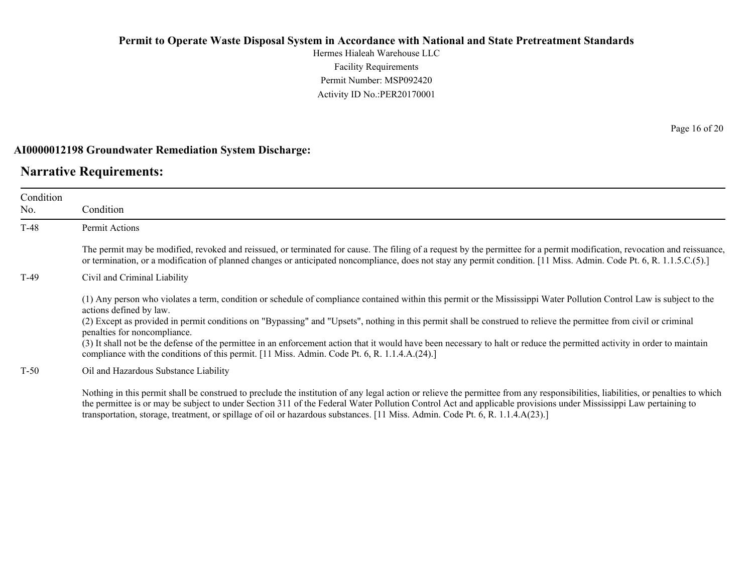Hermes Hialeah Warehouse LLC Facility Requirements Permit Number: MSP092420 Activity ID No.:PER20170001

#### **AI0000012198 Groundwater Remediation System Discharge:**

### **Narrative Requirements:**

| Condition<br>No. | Condition                                                                                                                                                                                                                                                                                                                                                                                                                                                                                                                                                                                                                                                                            |
|------------------|--------------------------------------------------------------------------------------------------------------------------------------------------------------------------------------------------------------------------------------------------------------------------------------------------------------------------------------------------------------------------------------------------------------------------------------------------------------------------------------------------------------------------------------------------------------------------------------------------------------------------------------------------------------------------------------|
| T-48             | <b>Permit Actions</b>                                                                                                                                                                                                                                                                                                                                                                                                                                                                                                                                                                                                                                                                |
|                  | The permit may be modified, revoked and reissued, or terminated for cause. The filing of a request by the permittee for a permit modification, revocation and reissuance,<br>or termination, or a modification of planned changes or anticipated noncompliance, does not stay any permit condition. [11 Miss. Admin. Code Pt. 6, R. 1.1.5.C.(5).]                                                                                                                                                                                                                                                                                                                                    |
| T-49             | Civil and Criminal Liability                                                                                                                                                                                                                                                                                                                                                                                                                                                                                                                                                                                                                                                         |
|                  | (1) Any person who violates a term, condition or schedule of compliance contained within this permit or the Mississippi Water Pollution Control Law is subject to the<br>actions defined by law.<br>(2) Except as provided in permit conditions on "Bypassing" and "Upsets", nothing in this permit shall be construed to relieve the permittee from civil or criminal<br>penalties for noncompliance.<br>(3) It shall not be the defense of the permittee in an enforcement action that it would have been necessary to halt or reduce the permitted activity in order to maintain<br>compliance with the conditions of this permit. [11 Miss. Admin. Code Pt. 6, R. 1.1.4.A.(24).] |
| $T-50$           | Oil and Hazardous Substance Liability                                                                                                                                                                                                                                                                                                                                                                                                                                                                                                                                                                                                                                                |
|                  | Nothing in this permit shall be construed to preclude the institution of any legal action or relieve the permittee from any responsibilities, liabilities, or penalties to which<br>the nomittee is an user be subject to under Cestion 211 of the Eadam Water Dellution Central Ast and analizable meeting under Mississimil I are nominima to                                                                                                                                                                                                                                                                                                                                      |

the permittee is or may be subject to under Section 311 of the Federal Water Pollution Control Act and applicable provisions under Mississippi Law pertaining to transportation, storage, treatment, or spillage of oil or hazardous substances. [11 Miss. Admin. Code Pt. 6, R. 1.1.4.A(23).]

Page 16 of 20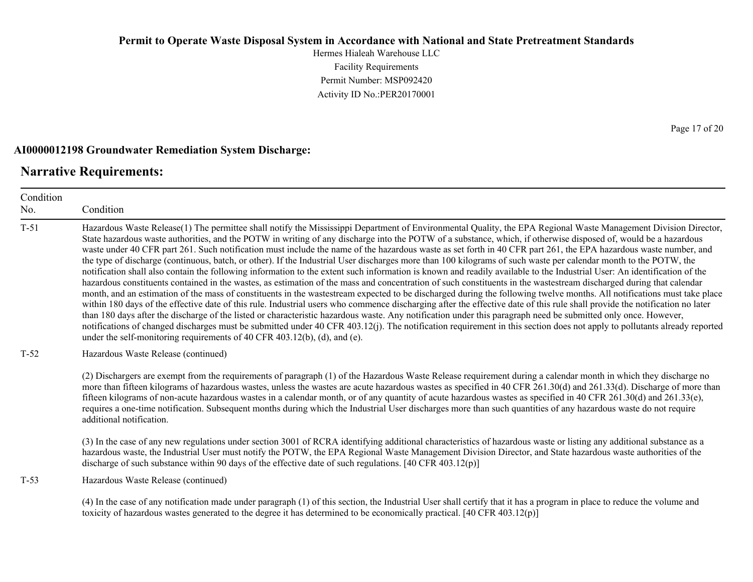Hermes Hialeah Warehouse LLC Facility Requirements Permit Number: MSP092420 Activity ID No.:PER20170001

#### **AI0000012198 Groundwater Remediation System Discharge:**

### **Narrative Requirements:**

Condition No. Condition T-51 Hazardous Waste Release(1) The permittee shall notify the Mississippi Department of Environmental Quality, the EPA Regional Waste Management Division Director, State hazardous waste authorities, and the POTW in writing of any discharge into the POTW of a substance, which, if otherwise disposed of, would be a hazardous waste under 40 CFR part 261. Such notification must include the name of the hazardous waste as set forth in 40 CFR part 261, the EPA hazardous waste number, and the type of discharge (continuous, batch, or other). If the Industrial User discharges more than 100 kilograms of such waste per calendar month to the POTW, the notification shall also contain the following information to the extent such information is known and readily available to the Industrial User: An identification of the hazardous constituents contained in the wastes, as estimation of the mass and concentration of such constituents in the wastestream discharged during that calendar month, and an estimation of the mass of constituents in the wastestream expected to be discharged during the following twelve months. All notifications must take place within 180 days of the effective date of this rule. Industrial users who commence discharging after the effective date of this rule shall provide the notification no later than 180 days after the discharge of the listed or characteristic hazardous waste. Any notification under this paragraph need be submitted only once. However, notifications of changed discharges must be submitted under 40 CFR 403.12(j). The notification requirement in this section does not apply to pollutants already reported under the self-monitoring requirements of 40 CFR 403.12(b), (d), and (e). T-52 Hazardous Waste Release (continued) (2) Dischargers are exempt from the requirements of paragraph (1) of the Hazardous Waste Release requirement during a calendar month in which they discharge no more than fifteen kilograms of hazardous wastes, unless the wastes are acute hazardous wastes as specified in 40 CFR 261.30(d) and 261.33(d). Discharge of more than fifteen kilograms of non-acute hazardous wastes in a calendar month, or of any quantity of acute hazardous wastes as specified in 40 CFR 261.30(d) and 261.33(e), requires a one-time notification. Subsequent months during which the Industrial User discharges more than such quantities of any hazardous waste do not require additional notification. (3) In the case of any new regulations under section 3001 of RCRA identifying additional characteristics of hazardous waste or listing any additional substance as a hazardous waste, the Industrial User must notify the POTW, the EPA Regional Waste Management Division Director, and State hazardous waste authorities of the discharge of such substance within 90 days of the effective date of such regulations. [40 CFR 403.12(p)] T-53 Hazardous Waste Release (continued) (4) In the case of any notification made under paragraph (1) of this section, the Industrial User shall certify that it has a program in place to reduce the volume and toxicity of hazardous wastes generated to the degree it has determined to be economically practical. [40 CFR 403.12(p)]

Page 17 of 20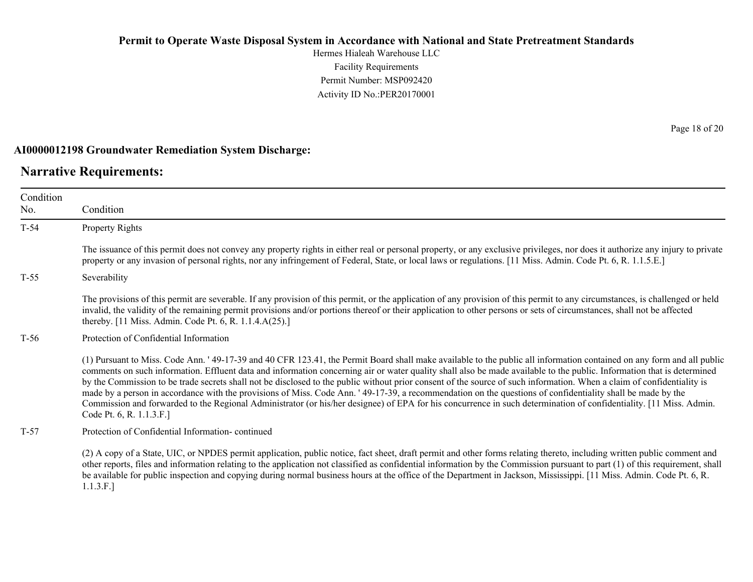Hermes Hialeah Warehouse LLC Facility Requirements Permit Number: MSP092420 Activity ID No.:PER20170001

#### **AI0000012198 Groundwater Remediation System Discharge:**

### **Narrative Requirements:**

Condition No. Condition T-54 Property Rights The issuance of this permit does not convey any property rights in either real or personal property, or any exclusive privileges, nor does it authorize any injury to private property or any invasion of personal rights, nor any infringement of Federal, State, or local laws or regulations. [11 Miss. Admin. Code Pt. 6, R. 1.1.5.E.] T-55 Severability The provisions of this permit are severable. If any provision of this permit, or the application of any provision of this permit to any circumstances, is challenged or held invalid, the validity of the remaining permit provisions and/or portions thereof or their application to other persons or sets of circumstances, shall not be affected thereby. [11 Miss. Admin. Code Pt. 6, R. 1.1.4.A(25).] T-56 Protection of Confidential Information (1) Pursuant to Miss. Code Ann. ' 49-17-39 and 40 CFR 123.41, the Permit Board shall make available to the public all information contained on any form and all public comments on such information. Effluent data and information concerning air or water quality shall also be made available to the public. Information that is determined by the Commission to be trade secrets shall not be disclosed to the public without prior consent of the source of such information. When a claim of confidentiality is made by a person in accordance with the provisions of Miss. Code Ann. ' 49-17-39, a recommendation on the questions of confidentiality shall be made by the Commission and forwarded to the Regional Administrator (or his/her designee) of EPA for his concurrence in such determination of confidentiality. [11 Miss. Admin. Code Pt. 6, R. 1.1.3.F.] T-57 Protection of Confidential Information- continued

(2) A copy of a State, UIC, or NPDES permit application, public notice, fact sheet, draft permit and other forms relating thereto, including written public comment and other reports, files and information relating to the application not classified as confidential information by the Commission pursuant to part (1) of this requirement, shall be available for public inspection and copying during normal business hours at the office of the Department in Jackson, Mississippi. [11 Miss. Admin. Code Pt. 6, R. 1.1.3.F.]

Page 18 of 20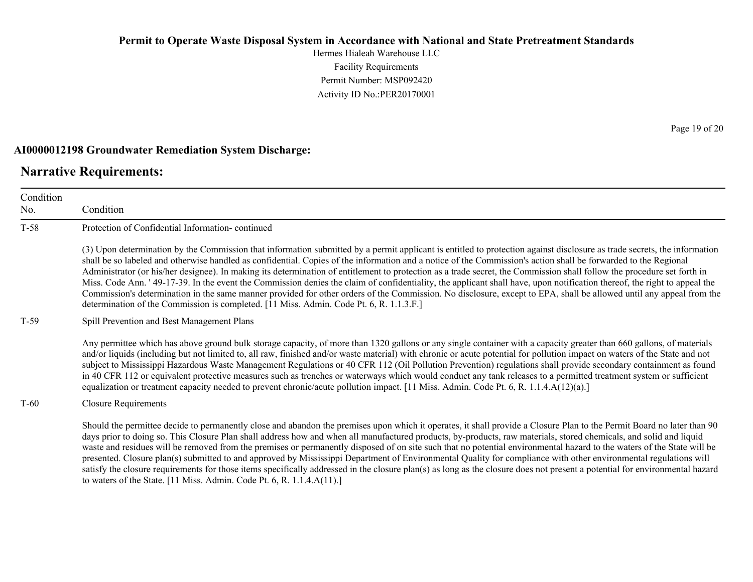Hermes Hialeah Warehouse LLC Facility Requirements Permit Number: MSP092420 Activity ID No.:PER20170001

#### **AI0000012198 Groundwater Remediation System Discharge:**

to waters of the State. [11 Miss. Admin. Code Pt. 6, R. 1.1.4.A(11).]

### **Narrative Requirements:**

Condition

No. Condition T-58 Protection of Confidential Information- continued (3) Upon determination by the Commission that information submitted by a permit applicant is entitled to protection against disclosure as trade secrets, the information shall be so labeled and otherwise handled as confidential. Copies of the information and a notice of the Commission's action shall be forwarded to the Regional Administrator (or his/her designee). In making its determination of entitlement to protection as a trade secret, the Commission shall follow the procedure set forth in Miss. Code Ann. ' 49-17-39. In the event the Commission denies the claim of confidentiality, the applicant shall have, upon notification thereof, the right to appeal the Commission's determination in the same manner provided for other orders of the Commission. No disclosure, except to EPA, shall be allowed until any appeal from the determination of the Commission is completed. [11 Miss. Admin. Code Pt. 6, R. 1.1.3.F.] T-59 Spill Prevention and Best Management Plans Any permittee which has above ground bulk storage capacity, of more than 1320 gallons or any single container with a capacity greater than 660 gallons, of materials and/or liquids (including but not limited to, all raw, finished and/or waste material) with chronic or acute potential for pollution impact on waters of the State and not subject to Mississippi Hazardous Waste Management Regulations or 40 CFR 112 (Oil Pollution Prevention) regulations shall provide secondary containment as found in 40 CFR 112 or equivalent protective measures such as trenches or waterways which would conduct any tank releases to a permitted treatment system or sufficient equalization or treatment capacity needed to prevent chronic/acute pollution impact. [11 Miss. Admin. Code Pt. 6, R. 1.1.4.A(12)(a).] T-60 Closure Requirements Should the permittee decide to permanently close and abandon the premises upon which it operates, it shall provide a Closure Plan to the Permit Board no later than 90 days prior to doing so. This Closure Plan shall address how and when all manufactured products, by-products, raw materials, stored chemicals, and solid and liquid waste and residues will be removed from the premises or permanently disposed of on site such that no potential environmental hazard to the waters of the State will be presented. Closure plan(s) submitted to and approved by Mississippi Department of Environmental Quality for compliance with other environmental regulations will

satisfy the closure requirements for those items specifically addressed in the closure plan(s) as long as the closure does not present a potential for environmental hazard

Page 19 of 20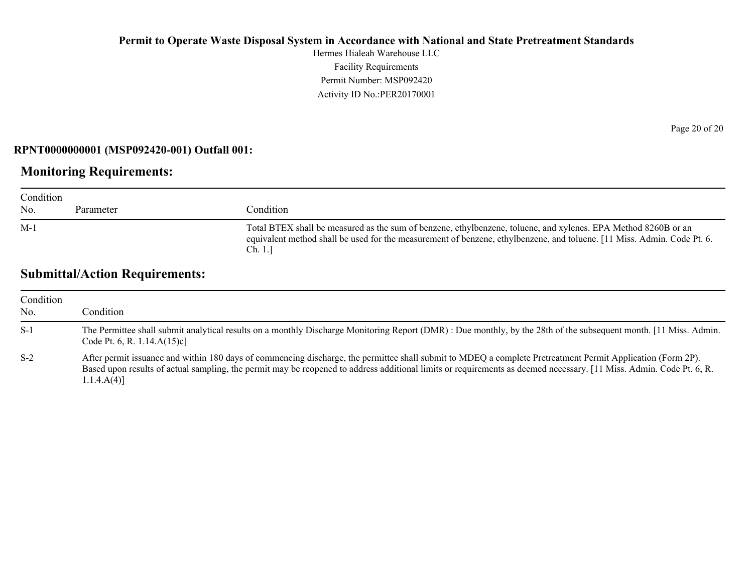Hermes Hialeah Warehouse LLC Facility Requirements Permit Number: MSP092420 Activity ID No.:PER20170001

#### **RPNT0000000001 (MSP092420-001) Outfall 001:**

### **Monitoring Requirements:**

| Condition<br>No. | Parameter | Condition                                                                                                                                                                                                                                             |
|------------------|-----------|-------------------------------------------------------------------------------------------------------------------------------------------------------------------------------------------------------------------------------------------------------|
| $M-1$            |           | Total BTEX shall be measured as the sum of benzene, ethylbenzene, toluene, and xylenes. EPA Method 8260B or an<br>equivalent method shall be used for the measurement of benzene, ethylbenzene, and toluene. [11 Miss. Admin. Code Pt. 6.]<br>Ch. 1.1 |

# **Submittal/Action Requirements:**

| Condition<br>No. | Condition                                                                                                                                                                                                                                                                                                                                            |
|------------------|------------------------------------------------------------------------------------------------------------------------------------------------------------------------------------------------------------------------------------------------------------------------------------------------------------------------------------------------------|
| $S-1$            | The Permittee shall submit analytical results on a monthly Discharge Monitoring Report (DMR): Due monthly, by the 28th of the subsequent month. [11 Miss. Admin.<br>Code Pt. 6, R. $1.14.A(15)c$                                                                                                                                                     |
| $S-2$            | After permit issuance and within 180 days of commencing discharge, the permittee shall submit to MDEQ a complete Pretreatment Permit Application (Form 2P).<br>Based upon results of actual sampling, the permit may be reopened to address additional limits or requirements as deemed necessary. [11 Miss. Admin. Code Pt. 6, R.<br>$1.1.4.A(4)$ ] |

Page 20 of 20